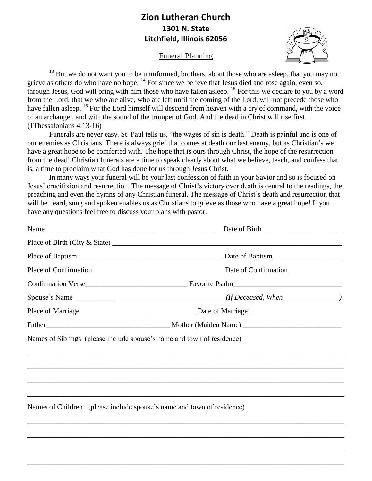## **Zion Lutheran Church 1301 N. State Litchfield, Illinois 62056**

Funeral Planning



<sup>13</sup> But we do not want you to be uninformed, brothers, about those who are asleep, that you may not grieve as others do who have no hope. <sup>14</sup> For since we believe that Jesus died and rose again, even so, through Jesus, God will bring with him those who have fallen asleep. <sup>15</sup> For this we declare to you by a word from the Lord, that we who are alive, who are left until the coming of the Lord, will not precede those who have fallen asleep. <sup>16</sup> For the Lord himself will descend from heaven with a cry of command, with the voice of an archangel, and with the sound of the trumpet of God. And the dead in Christ will rise first. (1Thessalonians 4:13-16)

Funerals are never easy. St. Paul tells us, "the wages of sin is death." Death is painful and is one of our enemies as Christians. There is always grief that comes at death our last enemy, but as Christian's we have a great hope to be comforted with. The hope that is ours through Christ, the hope of the resurrection from the dead! Christian funerals are a time to speak clearly about what we believe, teach, and confess that is, a time to proclaim what God has done for us through Jesus Christ.

In many ways your funeral will be your last confession of faith in your Savior and so is focused on Jesus' crucifixion and resurrection. The message of Christ's victory over death is central to the readings, the preaching and even the hymns of any Christian funeral. The message of Christ's death and resurrection that will be heard, sung and spoken enables us as Christians to grieve as those who have a great hope! If you have any questions feel free to discuss your plans with pastor.

| Names of Siblings (please include spouse's name and town of residence)           |
|----------------------------------------------------------------------------------|
|                                                                                  |
|                                                                                  |
|                                                                                  |
| ,我们也不能在这里的时候,我们也不能在这里的时候,我们也不能不能不能不能不能不能不能不能不能不能不能不能不能不能不能。""我们的是我们的,我们也不能不能不能不能 |
| Names of Children (please include spouse's name and town of residence)           |
|                                                                                  |
|                                                                                  |

\_\_\_\_\_\_\_\_\_\_\_\_\_\_\_\_\_\_\_\_\_\_\_\_\_\_\_\_\_\_\_\_\_\_\_\_\_\_\_\_\_\_\_\_\_\_\_\_\_\_\_\_\_\_\_\_\_\_\_\_\_\_\_\_\_\_\_\_\_\_\_\_\_\_\_\_\_\_\_\_\_\_\_\_\_\_\_

\_\_\_\_\_\_\_\_\_\_\_\_\_\_\_\_\_\_\_\_\_\_\_\_\_\_\_\_\_\_\_\_\_\_\_\_\_\_\_\_\_\_\_\_\_\_\_\_\_\_\_\_\_\_\_\_\_\_\_\_\_\_\_\_\_\_\_\_\_\_\_\_\_\_\_\_\_\_\_\_\_\_\_\_\_\_\_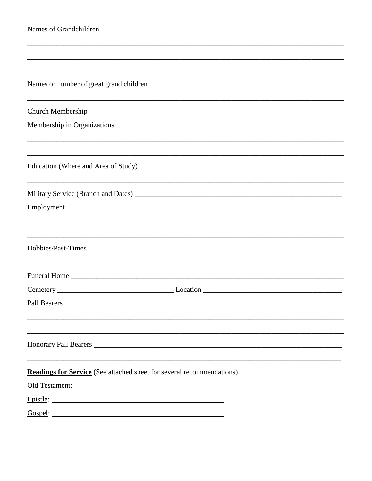| Membership in Organizations                                                                                                                                                                                                   |
|-------------------------------------------------------------------------------------------------------------------------------------------------------------------------------------------------------------------------------|
|                                                                                                                                                                                                                               |
|                                                                                                                                                                                                                               |
|                                                                                                                                                                                                                               |
|                                                                                                                                                                                                                               |
|                                                                                                                                                                                                                               |
|                                                                                                                                                                                                                               |
| Hobbies/Past-Times                                                                                                                                                                                                            |
|                                                                                                                                                                                                                               |
|                                                                                                                                                                                                                               |
|                                                                                                                                                                                                                               |
|                                                                                                                                                                                                                               |
|                                                                                                                                                                                                                               |
|                                                                                                                                                                                                                               |
| <b>Readings for Service</b> (See attached sheet for several recommendations)                                                                                                                                                  |
| Old Testament: 2008 and 2008 and 2008 and 2008 and 2008 and 2008 and 2008 and 2008 and 2008 and 2008 and 2008 and 2008 and 2008 and 2008 and 2008 and 2008 and 2008 and 2008 and 2008 and 2008 and 2008 and 2008 and 2008 and |
|                                                                                                                                                                                                                               |
|                                                                                                                                                                                                                               |